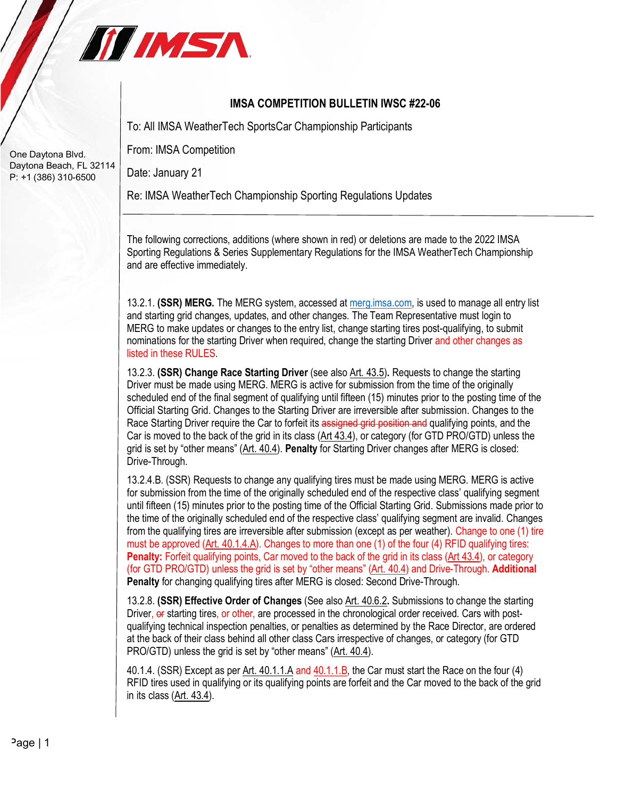

## **IMSA COMPETITION BULLETIN IWSC #22-06**

To: All IMSA WeatherTech SportsCar Championship Participants

From: IMSA Competition

Date: January 21

Re: IMSA WeatherTech Championship Sporting Regulations Updates

The following corrections, additions (where shown in red) or deletions are made to the 2022 IMSA Sporting Regulations & Series Supplementary Regulations for the IMSA WeatherTech Championship and are effective immediately.

13.2.1. **(SSR) MERG.** The MERG system, accessed at merg.imsa.com, is used to manage all entry list and starting grid changes, updates, and other changes. The Team Representative must login to MERG to make updates or changes to the entry list, change starting tires post-qualifying, to submit nominations for the starting Driver when required, change the starting Driver and other changes as listed in these RULES.

13.2.3. **(SSR) Change Race Starting Driver** (see also Art. 43.5)**.** Requests to change the starting Driver must be made using MERG. MERG is active for submission from the time of the originally scheduled end of the final segment of qualifying until fifteen (15) minutes prior to the posting time of the Official Starting Grid. Changes to the Starting Driver are irreversible after submission. Changes to the Race Starting Driver require the Car to forfeit its assigned grid position and qualifying points, and the Car is moved to the back of the grid in its class (Art 43.4), or category (for GTD PRO/GTD) unless the grid is set by "other means" (Art. 40.4). **Penalty** for Starting Driver changes after MERG is closed: Drive-Through.

13.2.4.B. (SSR) Requests to change any qualifying tires must be made using MERG. MERG is active for submission from the time of the originally scheduled end of the respective class' qualifying segment until fifteen (15) minutes prior to the posting time of the Official Starting Grid. Submissions made prior to the time of the originally scheduled end of the respective class' qualifying segment are invalid. Changes from the qualifying tires are irreversible after submission (except as per weather). Change to one (1) tire must be approved (Art. 40.1.4.A). Changes to more than one (1) of the four (4) RFID qualifying tires: **Penalty:** Forfeit qualifying points, Car moved to the back of the grid in its class (Art 43.4), or category (for GTD PRO/GTD) unless the grid is set by "other means" (Art. 40.4) and Drive-Through. **Additional Penalty** for changing qualifying tires after MERG is closed: Second Drive-Through.

13.2.8. **(SSR) Effective Order of Changes** (See also Art. 40.6.2**.** Submissions to change the starting Driver, or starting tires, or other, are processed in the chronological order received. Cars with postqualifying technical inspection penalties, or penalties as determined by the Race Director, are ordered at the back of their class behind all other class Cars irrespective of changes, or category (for GTD PRO/GTD) unless the grid is set by "other means" (Art. 40.4).

40.1.4. (SSR) Except as per Art. 40.1.1.A and 40.1.1.B, the Car must start the Race on the four (4) RFID tires used in qualifying or its qualifying points are forfeit and the Car moved to the back of the grid in its class (Art. 43.4).

One Daytona Blvd. Daytona Beach, FL 32114 P: +1 (386) 310-6500